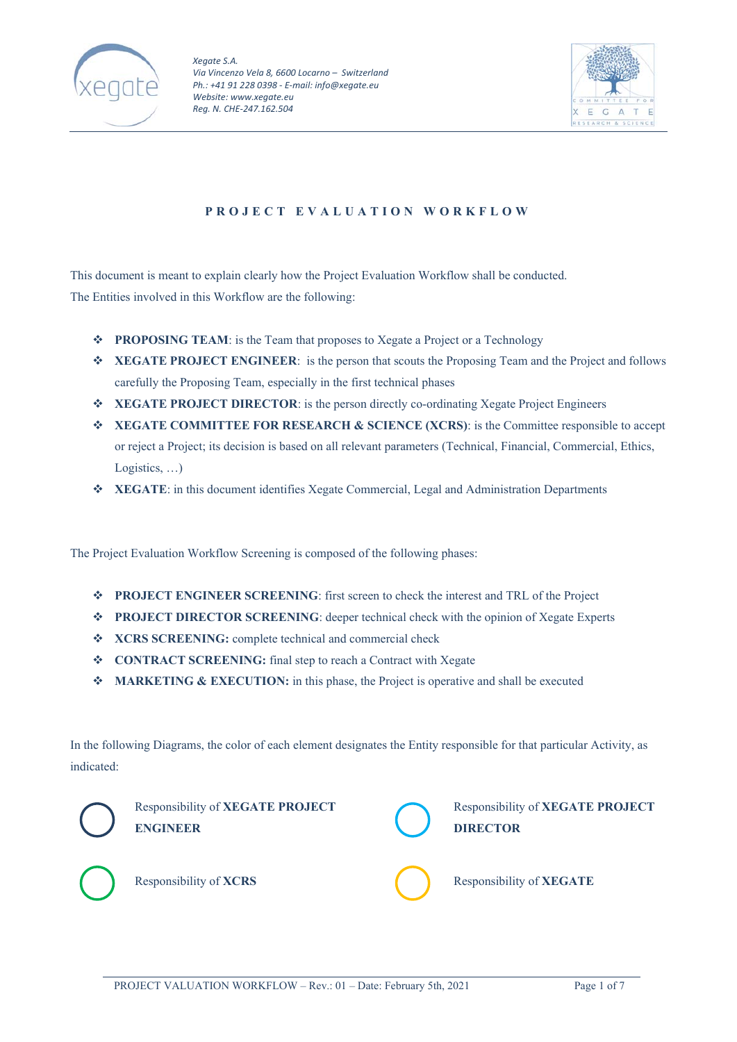



# **PROJECT EVALUATION WORKFLOW**

This document is meant to explain clearly how the Project Evaluation Workflow shall be conducted. The Entities involved in this Workflow are the following:

- **◆ PROPOSING TEAM:** is the Team that proposes to Xegate a Project or a Technology
- **XEGATE PROJECT ENGINEER**: is the person that scouts the Proposing Team and the Project and follows carefully the Proposing Team, especially in the first technical phases
- **XEGATE PROJECT DIRECTOR**: is the person directly co-ordinating Xegate Project Engineers
- **XEGATE COMMITTEE FOR RESEARCH & SCIENCE (XCRS)**: is the Committee responsible to accept or reject a Project; its decision is based on all relevant parameters (Technical, Financial, Commercial, Ethics, Logistics, …)
- **XEGATE**: in this document identifies Xegate Commercial, Legal and Administration Departments

The Project Evaluation Workflow Screening is composed of the following phases:

- **PROJECT ENGINEER SCREENING**: first screen to check the interest and TRL of the Project
- **PROJECT DIRECTOR SCREENING**: deeper technical check with the opinion of Xegate Experts
- **XCRS SCREENING:** complete technical and commercial check
- **CONTRACT SCREENING:** final step to reach a Contract with Xegate
- **MARKETING & EXECUTION:** in this phase, the Project is operative and shall be executed

In the following Diagrams, the color of each element designates the Entity responsible for that particular Activity, as indicated:



Responsibility of **XEGATE PROJECT ENGINEER** 



Responsibility of **XEGATE PROJECT DIRECTOR**



Responsibility of **XCRS** Responsibility of **XEGATE**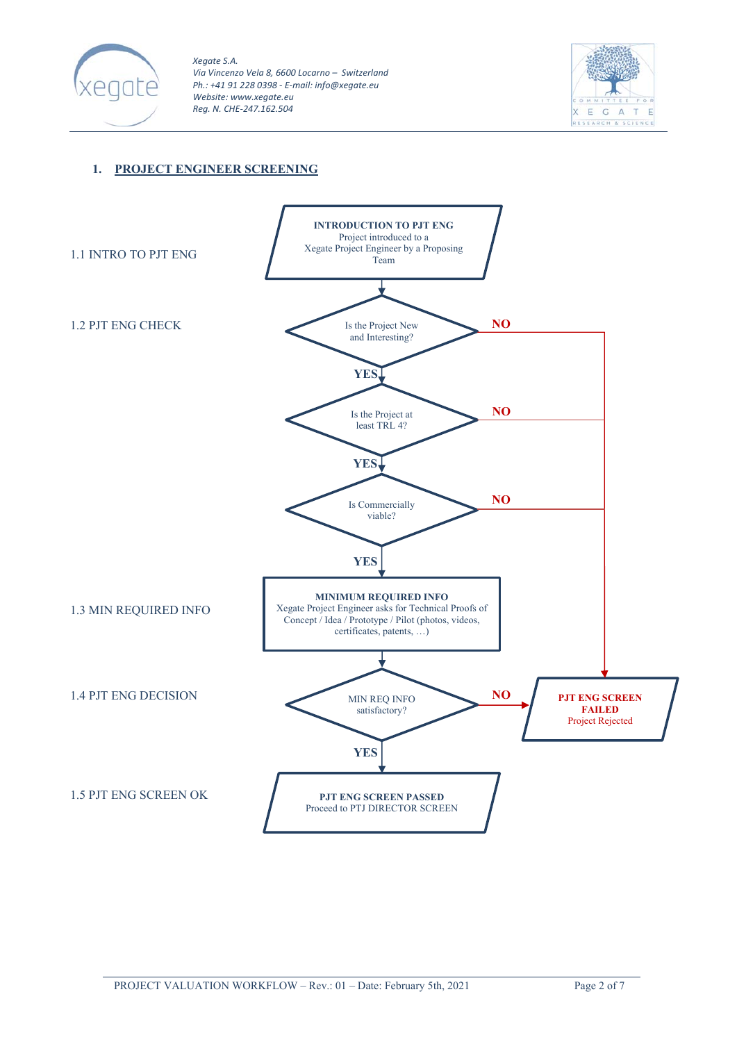



## **1. PROJECT ENGINEER SCREENING**

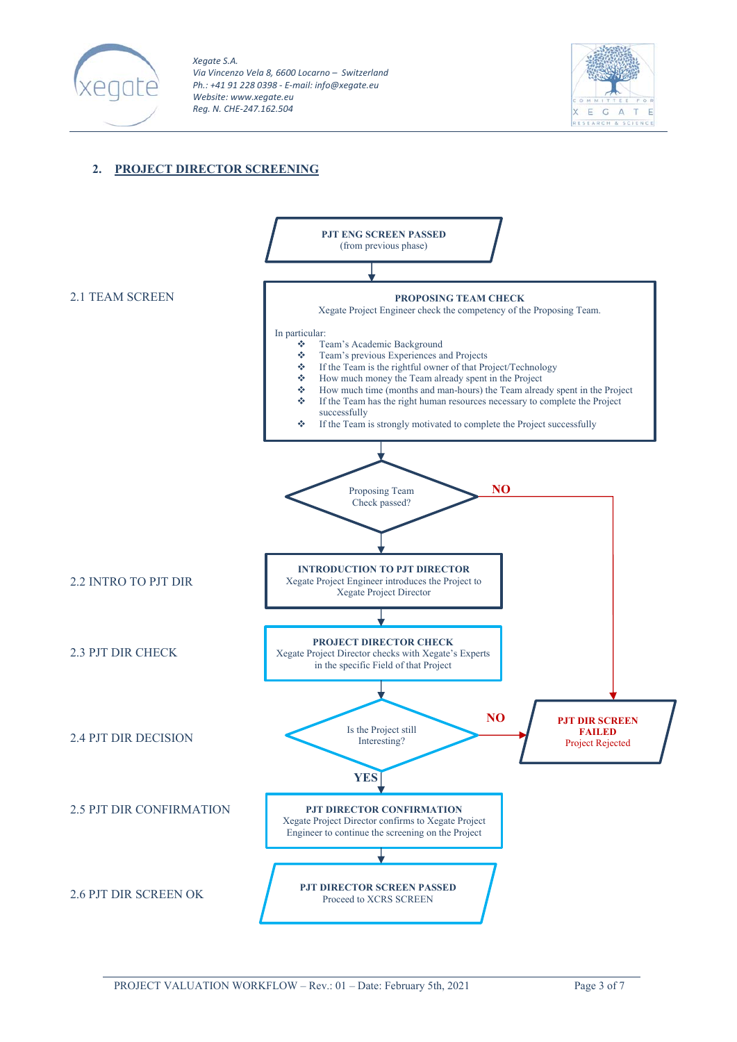



### **2. PROJECT DIRECTOR SCREENING**

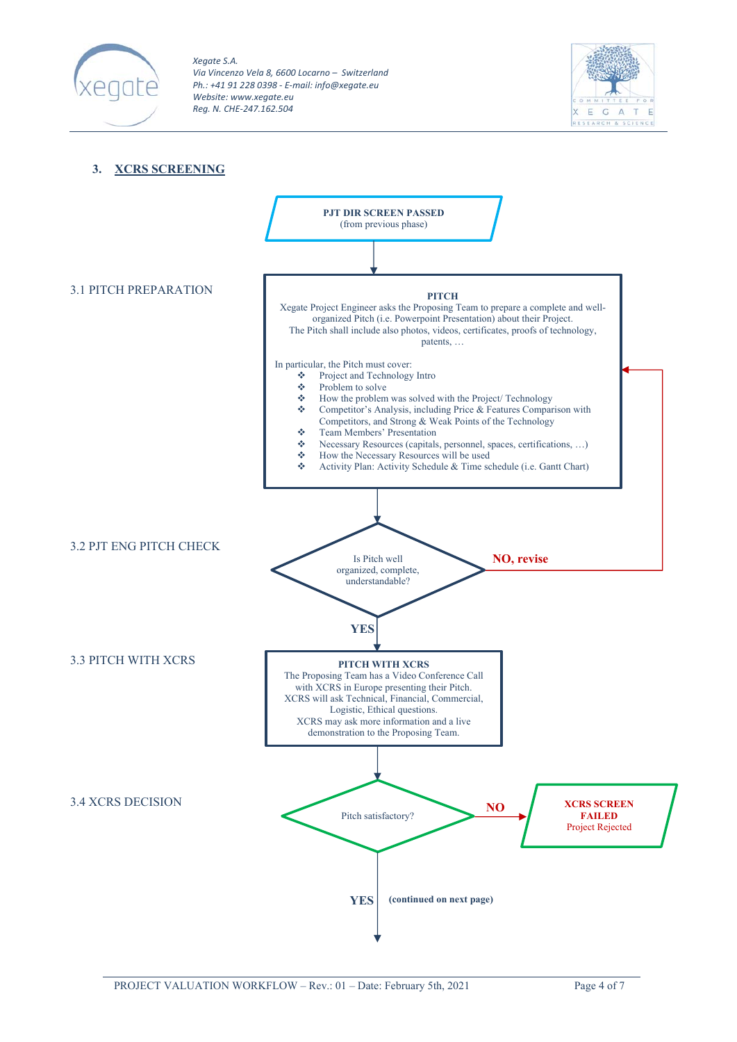



#### **3. XCRS SCREENING**

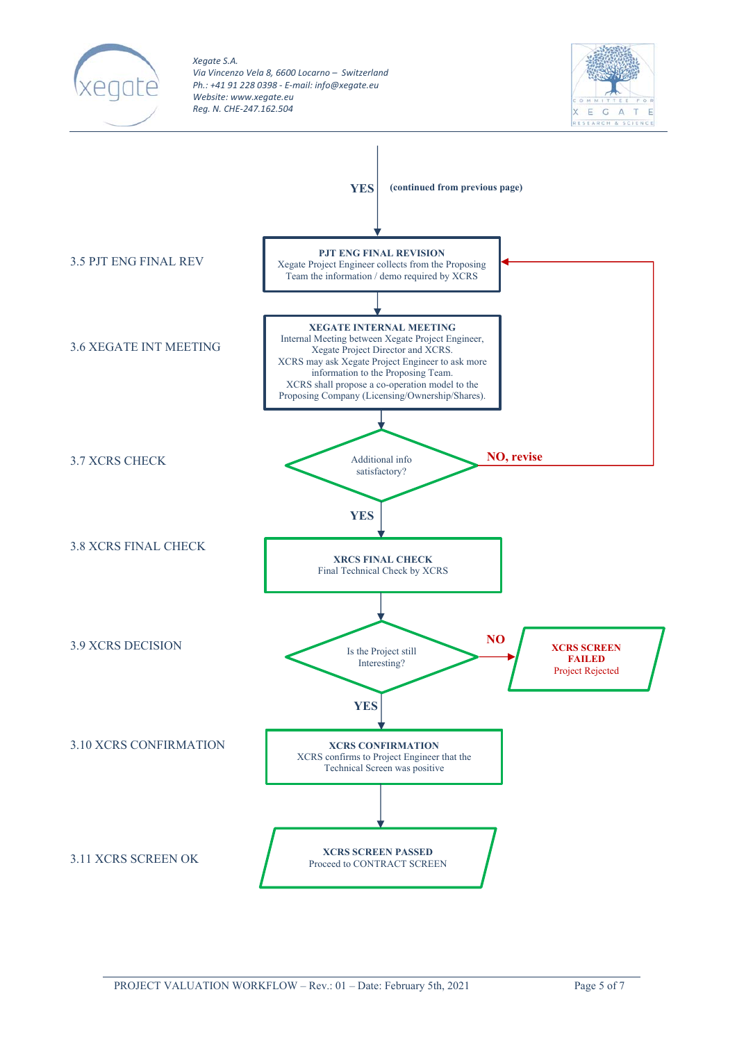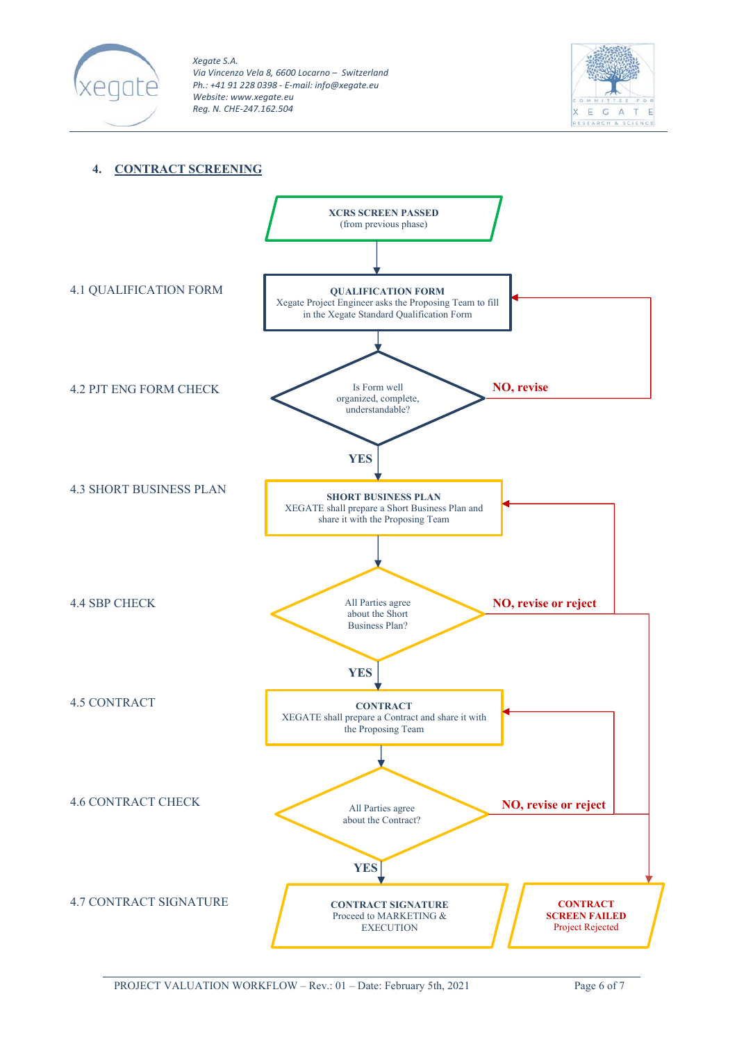



## **4. CONTRACT SCREENING**